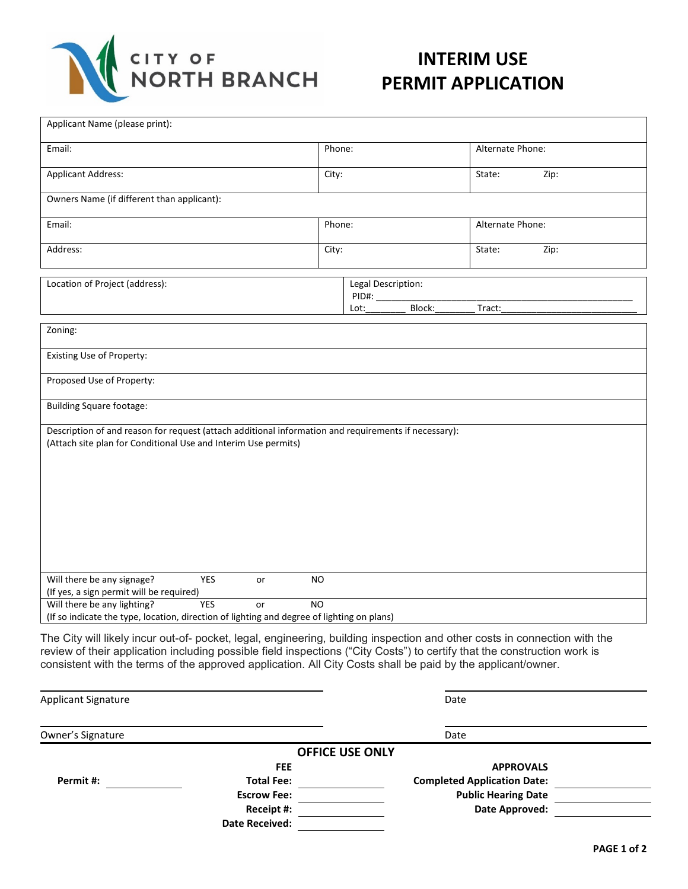

## **INTERIM USE PERMIT APPLICATION**

| Applicant Name (please print):                                                                                                                                                                                                                                                                                                                                       |                                               |  |                  |      |  |  |
|----------------------------------------------------------------------------------------------------------------------------------------------------------------------------------------------------------------------------------------------------------------------------------------------------------------------------------------------------------------------|-----------------------------------------------|--|------------------|------|--|--|
| Email:                                                                                                                                                                                                                                                                                                                                                               | Phone:                                        |  | Alternate Phone: |      |  |  |
| <b>Applicant Address:</b>                                                                                                                                                                                                                                                                                                                                            | City:                                         |  | State:           | Zip: |  |  |
| Owners Name (if different than applicant):                                                                                                                                                                                                                                                                                                                           |                                               |  |                  |      |  |  |
| Email:                                                                                                                                                                                                                                                                                                                                                               | Phone:                                        |  | Alternate Phone: |      |  |  |
| Address:                                                                                                                                                                                                                                                                                                                                                             | City:                                         |  | State:           | Zip: |  |  |
| Location of Project (address):                                                                                                                                                                                                                                                                                                                                       | Legal Description:<br>PID#:<br>Block:<br>Lot: |  | Tract:           |      |  |  |
| Zoning:                                                                                                                                                                                                                                                                                                                                                              |                                               |  |                  |      |  |  |
| Existing Use of Property:                                                                                                                                                                                                                                                                                                                                            |                                               |  |                  |      |  |  |
| Proposed Use of Property:                                                                                                                                                                                                                                                                                                                                            |                                               |  |                  |      |  |  |
| <b>Building Square footage:</b>                                                                                                                                                                                                                                                                                                                                      |                                               |  |                  |      |  |  |
| Description of and reason for request (attach additional information and requirements if necessary):<br>(Attach site plan for Conditional Use and Interim Use permits)                                                                                                                                                                                               |                                               |  |                  |      |  |  |
| Will there be any signage?<br><b>YES</b><br>or<br>(If yes, a sign permit will be required)                                                                                                                                                                                                                                                                           | <b>NO</b>                                     |  |                  |      |  |  |
| Will there be any lighting?<br><b>YES</b><br>N <sub>O</sub><br>or<br>(If so indicate the type, location, direction of lighting and degree of lighting on plans)                                                                                                                                                                                                      |                                               |  |                  |      |  |  |
| The City will likely incur out-of- pocket, legal, engineering, building inspection and other costs in connection with the<br>review of their application including possible field inspections ("City Costs") to certify that the construction work is<br>consistent with the terms of the approved application. All City Costs shall be paid by the applicant/owner. |                                               |  |                  |      |  |  |

|                       | Date                               |                        |  |
|-----------------------|------------------------------------|------------------------|--|
|                       | Date                               |                        |  |
|                       |                                    |                        |  |
| <b>FEE</b>            | <b>APPROVALS</b>                   |                        |  |
| <b>Total Fee:</b>     | <b>Completed Application Date:</b> |                        |  |
| <b>Escrow Fee:</b>    | <b>Public Hearing Date</b>         |                        |  |
| Receipt #:            | Date Approved:                     |                        |  |
| <b>Date Received:</b> |                                    |                        |  |
|                       |                                    | <b>OFFICE USE ONLY</b> |  |